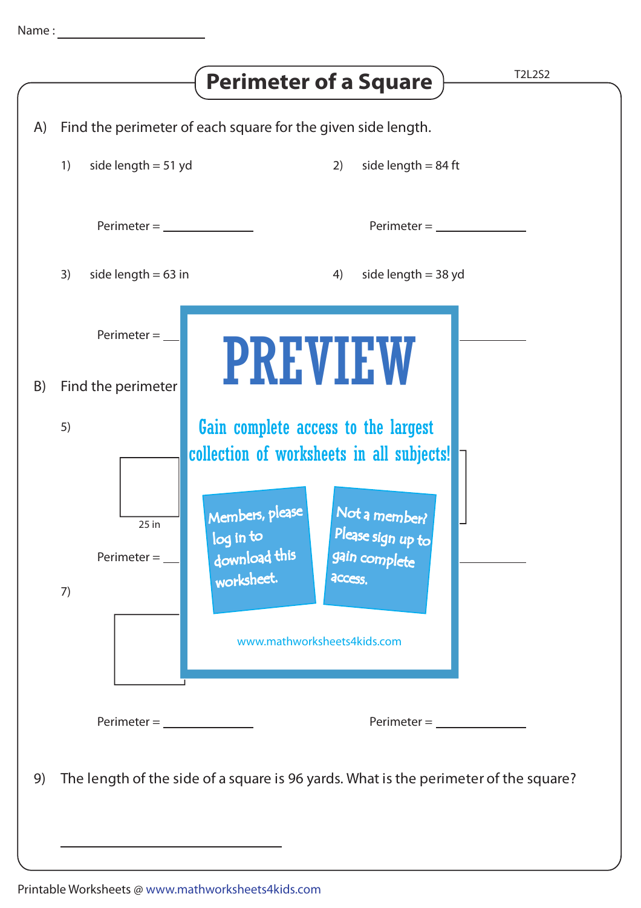